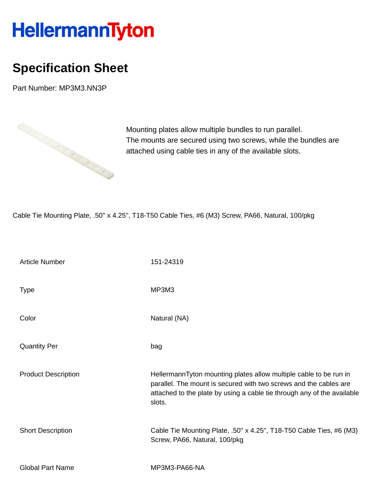## HellermannTyton

## **Specification Sheet**

Part Number: MP3M3.NN3P



Mounting plates allow multiple bundles to run parallel. The mounts are secured using two screws, while the bundles are attached using cable ties in any of the available slots.

Cable Tie Mounting Plate, .50'' x 4.25'', T18-T50 Cable Ties, #6 (M3) Screw, PA66, Natural, 100/pkg

| <b>Article Number</b>      | 151-24319                                                                                                                                                                                                                   |
|----------------------------|-----------------------------------------------------------------------------------------------------------------------------------------------------------------------------------------------------------------------------|
| <b>Type</b>                | MP3M3                                                                                                                                                                                                                       |
| Color                      | Natural (NA)                                                                                                                                                                                                                |
| <b>Quantity Per</b>        | bag                                                                                                                                                                                                                         |
| <b>Product Description</b> | HellermannTyton mounting plates allow multiple cable to be run in<br>parallel. The mount is secured with two screws and the cables are<br>attached to the plate by using a cable tie through any of the available<br>slots. |
| <b>Short Description</b>   | Cable Tie Mounting Plate, .50" x 4.25", T18-T50 Cable Ties, #6 (M3)<br>Screw, PA66, Natural, 100/pkg                                                                                                                        |
| <b>Global Part Name</b>    | MP3M3-PA66-NA                                                                                                                                                                                                               |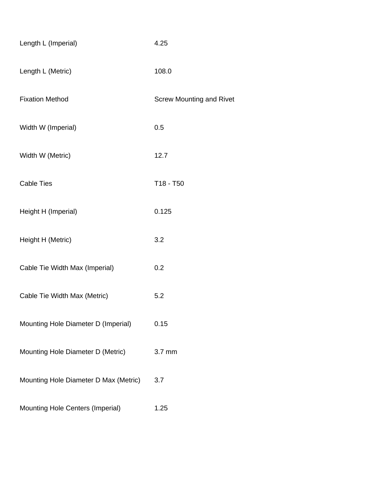| Length L (Imperial)                   | 4.25                            |
|---------------------------------------|---------------------------------|
| Length L (Metric)                     | 108.0                           |
| <b>Fixation Method</b>                | <b>Screw Mounting and Rivet</b> |
| Width W (Imperial)                    | 0.5                             |
| Width W (Metric)                      | 12.7                            |
| <b>Cable Ties</b>                     | T18 - T50                       |
| Height H (Imperial)                   | 0.125                           |
| Height H (Metric)                     | 3.2                             |
| Cable Tie Width Max (Imperial)        | 0.2                             |
| Cable Tie Width Max (Metric)          | 5.2                             |
| Mounting Hole Diameter D (Imperial)   | 0.15                            |
| Mounting Hole Diameter D (Metric)     | 3.7 mm                          |
| Mounting Hole Diameter D Max (Metric) | 3.7                             |
| Mounting Hole Centers (Imperial)      | 1.25                            |